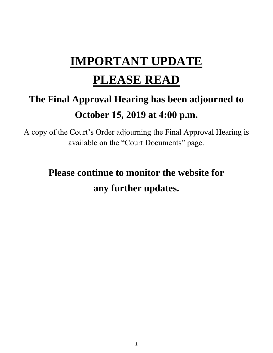# **IMPORTANT UPDATE**

## **PLEASE READ**

## **The Final Approval Hearing has been adjourned to October 15, 2019 at 4:00 p.m.**

A copy of the Court's Order adjourning the Final Approval Hearing is available on the "Court Documents" page.

## **Please continue to monitor the website for any further updates.**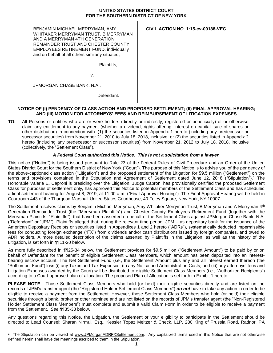## **UNITED STATES DISTRICT COURT FOR THE SOUTHERN DISTRICT OF NEW YORK**

BENJAMIN MICHAEL MERRYMAN, AMY WHITAKER MERRYMAN TRUST, B MERRYMAN AND A MERRYMAN 4TH GENERATION REMAINDER TRUST AND CHESTER COUNTY EMPLOYEES RETIREMENT FUND, individually and on behalf of all others similarly situated,

**CIVIL ACTION NO. 1:15-cv-09188-VEC**

Plaintiffs,

v.

JPMORGAN CHASE BANK, N.A.,

Defendant.

## **NOTICE OF (I) PENDENCY OF CLASS ACTION AND PROPOSED SETTLEMENT; (II) FINAL APPROVAL HEARING; AND (III) MOTION FOR ATTORNEYS' FEES AND REIMBURSEMENT OF LITIGATION EXPENSES**

**TO:** All Persons or entities who are or were holders (directly or indirectly, registered or beneficially) of or otherwise claim any entitlement to any payment (whether a dividend, rights offering, interest on capital, sale of shares or other distribution) in connection with: (1) the securities listed in Appendix 1 hereto (including any predecessor or successor securities) from November 21, 2010 to July 18, 2018, inclusive; or (2) the securities listed in Appendix 2 hereto (including any predecessor or successor securities) from November 21, 2012 to July 18, 2018, inclusive (collectively, the "Settlement Class").

## *A Federal Court authorized this Notice. This is not a solicitation from a lawyer.*

This notice ("Notice") is being issued pursuant to Rule 23 of the Federal Rules of Civil Procedure and an Order of the United States District Court for the Southern District of New York ("Court"). The purpose of this Notice is to advise you of the pendency of the above-captioned class action ("Litigation") and the proposed settlement of the Litigation for \$9.5 million ("Settlement") on the terms and provisions contained in the Stipulation and Agreement of Settlement dated June 12, 2018 ("Stipulation").<sup>1</sup> The Honorable Valerie E. Caproni is presiding over the Litigation. Judge Caproni has provisionally certified the proposed Settlement Class for purposes of settlement only, has approved this Notice to potential members of the Settlement Class and has scheduled a final settlement hearing for August 8, 2019, at 11:00 a.m. ("Final Approval Hearing"). The Final Approval Hearing will be held in Courtroom 443 of the Thurgood Marshall United States Courthouse, 40 Foley Square, New York, NY 10007.

The Settlement resolves claims by Benjamin Michael Merryman, Amy Whitaker Merryman Trust, B Merryman and A Merryman 4th Generation Remainder Trust (the "Merryman Plaintiffs") and Chester County Employees Retirement Fund (together with the Merryman Plaintiffs, "Plaintiffs"), that have been asserted on behalf of the Settlement Class against JPMorgan Chase Bank, N.A. ("Defendant" or "JPM"). Plaintiffs alleged that, during the relevant time period, JPM – as depositary bank for the issuance of the American Depositary Receipts or securities listed in Appendixes 1 and 2 hereto ("ADRs"), systematically deducted impermissible fees for conducting foreign exchange ("FX") from dividends and/or cash distributions issued by foreign companies, and owed to ADR holders. A more detailed description of the claims asserted by Plaintiffs in the Litigation, as well as the history of the Litigation, is set forth in ¶¶11-20 below.

As more fully described in ¶¶25-34 below, the Settlement provides for \$9.5 million ("Settlement Amount") to be paid by or on behalf of Defendant for the benefit of eligible Settlement Class Members, which amount has been deposited into an interestbearing escrow account. The Net Settlement Fund (*i.e.*, the Settlement Amount plus any and all interest earned thereon (the "Settlement Fund") less (i) any Taxes and Tax Expenses; (ii) any Notice and Administration Costs; and (iii) any attorneys' fees and Litigation Expenses awarded by the Court) will be distributed to eligible Settlement Class Members (i.e*.*, "Authorized Recipients") according to a Court-approved plan of allocation. The proposed Plan of Allocation is set forth in Exhibit 1 hereto.

**PLEASE NOTE**: Those Settlement Class Members who hold (or held) their eligible securities directly and are listed on the records of JPM's transfer agent (the "Registered Holder Settlement Class Members") *do not* have to take any action in order to be eligible to receive a payment from the Settlement. However, those Settlement Class Members who hold (or held) their eligible securities through a bank, broker or other nominee and are not listed on the records of JPM's transfer agent (the "Non-Registered Holder Settlement Class Members") must complete and submit a valid Claim Form in order to be eligible to receive a payment from the Settlement. *See* ¶¶35-38 below.

Any questions regarding this Notice, the Litigation, the Settlement or your eligibility to participate in the Settlement should be directed to Lead Counsel: Sharan Nirmul, Esq., Kessler Topaz Meltzer & Check, LLP, 280 King of Prussia Road, Radnor, PA

 $\overline{a}$ <sup>1</sup> The Stipulation can be viewed at www.JPMorganADRFXSettlement.com. Any capitalized terms used in this Notice that are not otherwise defined herein shall have the meanings ascribed to them in the Stipulation.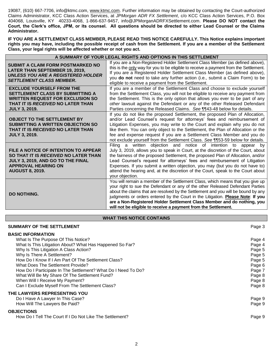19087, (610) 667-7706, info@ktmc.com, www.ktmc.com. Further information may be obtained by contacting the Court-authorized Claims Administrator, KCC Class Action Services, at *JPMorgan ADR FX Settlement*, c/o KCC Class Action Services, P.O. Box 404068, Louisville, KY 40233-4068, 1-866-637-9457, info@JPMorganADRFXSettlement.com. **Please DO NOT contact the Court, the Clerk's office, JPM, or its counsel. All questions should be directed to either Lead Counsel or the Claims Administrator.** 

**IF YOU ARE A SETTLEMENT CLASS MEMBER, PLEASE READ THIS NOTICE CAREFULLY. This Notice explains important rights you may have, including the possible receipt of cash from the Settlement. If you are a member of the Settlement Class, your legal rights will be affected whether or not you act.**

| A SUMMARY OF YOUR LEGAL RIGHTS AND OPTIONS IN THIS SETTLEMENT                                                                                                                       |                                                                                                                                                                                                                                                                                                                                                                                                                                                                                                                |  |  |  |  |
|-------------------------------------------------------------------------------------------------------------------------------------------------------------------------------------|----------------------------------------------------------------------------------------------------------------------------------------------------------------------------------------------------------------------------------------------------------------------------------------------------------------------------------------------------------------------------------------------------------------------------------------------------------------------------------------------------------------|--|--|--|--|
| SUBMIT A CLAIM FORM POSTMARKED NO<br><b>LATER THAN SEPTEMBER 19, 2019,</b><br><b>UNLESS YOU ARE A REGISTERED HOLDER</b><br><b>SETTLEMENT CLASS MEMBER.</b>                          | If you are a Non-Registered Holder Settlement Class Member (as defined above),<br>this is the only way for you to be eligible to receive a payment from the Settlement.<br>If you are a Registered Holder Settlement Class Member (as defined above),<br>you do not need to take any further action (i.e., submit a Claim Form) to be<br>eligible to receive a payment from the Settlement.                                                                                                                    |  |  |  |  |
| <b>EXCLUDE YOURSELF FROM THE</b><br>SETTLEMENT CLASS BY SUBMITTING A<br><b>WRITTEN REQUEST FOR EXCLUSION SO</b><br>THAT IT IS <i>RECEIVED</i> NO LATER THAN<br><b>JULY 3, 2019.</b> | If you are a member of the Settlement Class and choose to exclude yourself<br>from the Settlement Class, you will not be eligible to receive any payment from<br>the Settlement. This is the only option that allows you ever to be part of any<br>other lawsuit against the Defendant or any of the other Released Defendant<br>Parties concerning the Released Claims. See 1143-48 below for details.                                                                                                        |  |  |  |  |
| <b>OBJECT TO THE SETTLEMENT BY</b><br>SUBMITTING A WRITTEN OBJECTION SO<br>THAT IT IS RECEIVED NO LATER THAN<br><b>JULY 3, 2019.</b>                                                | If you do not like the proposed Settlement, the proposed Plan of Allocation,<br>and/or Lead Counsel's request for attorneys' fees and reimbursement of<br>Litigation Expenses, you may write to the Court and explain why you do not<br>like them. You can only object to the Settlement, the Plan of Allocation or the<br>fee and expense request if you are a Settlement Class Member and you do<br>not exclude yourself from the Settlement Class. See 1153-59 below for details.                           |  |  |  |  |
| FILE A NOTICE OF INTENTION TO APPEAR<br>SO THAT IT IS RECEIVED NO LATER THAN<br>JULY 3, 2019, AND GO TO THE FINAL<br><b>APPROVAL HEARING ON</b><br><b>AUGUST 8, 2019.</b>           | Filing a written objection and notice of intention to appear by<br>July 3, 2019, allows you to speak in Court, at the discretion of the Court, about<br>the fairness of the proposed Settlement, the proposed Plan of Allocation, and/or<br>Lead Counsel's request for attorneys' fees and reimbursement of Litigation<br>Expenses. If you submit a written objection, you may (but you do not have to)<br>attend the hearing and, at the discretion of the Court, speak to the Court about<br>your objection. |  |  |  |  |
| <b>DO NOTHING.</b>                                                                                                                                                                  | You will remain a member of the Settlement Class, which means that you give up<br>your right to sue the Defendant or any of the other Released Defendant Parties<br>about the claims that are resolved by the Settlement and you will be bound by any<br>judgments or orders entered by the Court in the Litigation. Please Note: If you<br>are a Non-Registered Holder Settlement Class Member and do nothing, you<br>will not be eligible to receive a payment from the Settlement.                          |  |  |  |  |

### **WHAT THIS NOTICE CONTAINS**

| <b>SUMMARY OF THE SETTLEMENT</b>                              | Page 3 |
|---------------------------------------------------------------|--------|
| <b>BASIC INFORMATION</b>                                      |        |
| What Is The Purpose Of This Notice?                           | Page 4 |
| What Is This Litigation About? What Has Happened So Far?      | Page 4 |
| Why Is This Litigation A Class Action?                        | Page 5 |
| Why Is There A Settlement?                                    | Page 5 |
| How Do I Know If I Am Part Of The Settlement Class?           | Page 5 |
| What Does The Settlement Provide?                             | Page 6 |
| How Do I Participate In The Settlement? What Do I Need To Do? | Page 7 |
| What Will Be My Share Of The Settlement Fund?                 | Page 8 |
| When Will I Receive My Payment?                               | Page 8 |
| Can I Exclude Myself From The Settlement Class?               | Page 8 |
| THE LAWYERS REPRESENTING YOU                                  |        |
| Do I Have A Lawyer In This Case?                              | Page 9 |
| How Will The Lawyers Be Paid?                                 | Page 9 |
| <b>OBJECTIONS</b>                                             |        |
| How Do I Tell The Court If I Do Not Like The Settlement?      | Page 9 |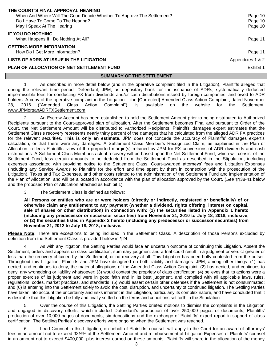| When And Where Will The Court Decide Whether To Approve The Settlement?<br>Do I Have To Come To The Hearing?<br>May I Speak At The Hearing | Page 10<br>Page 10<br>Page 10 |
|--------------------------------------------------------------------------------------------------------------------------------------------|-------------------------------|
| <b>IF YOU DO NOTHING</b><br>What Happens If I Do Nothing At All?                                                                           | Page 11                       |
| <b>GETTING MORE INFORMATION</b><br>How Do I Get More Information?                                                                          | Page 11                       |
| LISTS OF ADRS AT ISSUE IN THE LITIGATION                                                                                                   | Appendixes 1 & 2              |
| PLAN OF ALLOCATION OF NET SETTLEMENT FUND                                                                                                  | Exhibit 1                     |
| <b>SUMMARY OF THE SETTLEMENT</b>                                                                                                           |                               |
| As described in more detail below (and in the operative complaint filed in the Litigation), Plaintiffs alleged that                        |                               |

intiffs alleged that during the relevant time period, Defendant, JPM, as depositary bank for the issuance of ADRs, systematically deducted impermissible fees for conducting FX from dividends and/or cash distributions issued by foreign companies, and owed to ADR holders. A copy of the operative complaint in the Litigation – the [Corrected] Amended Class Action Complaint, dated November 28, 2016 ("Amended Class Action Complaint"), is available on the website for the Settlement, www.JPMorganADRFXSettlement.com.

2. An Escrow Account has been established to hold the Settlement Amount prior to being distributed to Authorized Recipients pursuant to the Court-approved plan of allocation. After the Settlement becomes Final and pursuant to Order of the Court, the Net Settlement Amount will be distributed to Authorized Recipients. Plaintiffs' damages expert estimates that the Settlement Class's recovery represents nearly thirty percent of the damages that he calculated from the alleged ADR FX practices for the relevant securities. **This is only an estimate.** JPM does not concede the accuracy of Plaintiffs' damages expert's calculation, or that there were any damages. A Settlement Class Member's Recognized Claim, as explained in the Plan of Allocation, reflects Plaintiffs' view of the purported margin(s) retained by JPM for FX conversions of ADR dividends and cash distributions. A Settlement Class Member's actual recovery will be based upon the Net Settlement Fund, which will consist of the Settlement Fund, less certain amounts to be deducted from the Settlement Fund as described in the Stipulation, including expenses associated with providing notice to the Settlement Class, Court-awarded attorneys' fees and Litigation Expenses (including any Service Awards to Plaintiffs for the effort and time spent by them in connection with the prosecution of the Litigation), Taxes and Tax Expenses, and other costs related to the administration of the Settlement Fund and implementation of the Plan of Allocation, and will be allocated in accordance with the plan of allocation approved by the Court. (*See* ¶¶38-41 below and the proposed Plan of Allocation attached as Exhibit 1).

3. The Settlement Class is defined as follows:

**THE COURT'S FINAL APPROVAL HEARING**

**All Persons or entities who are or were holders (directly or indirectly, registered or beneficially) of or otherwise claim any entitlement to any payment (whether a dividend, rights offering, interest on capital, sale of shares or other distribution) in connection with: (1) the securities listed in Appendix 1 hereto (including any predecessor or successor securities) from November 21, 2010 to July 18, 2018, inclusive; or (2) the securities listed in Appendix 2 hereto (including any predecessor or successor securities) from November 21, 2012 to July 18, 2018, inclusive.**

**Please Note:** There are exceptions to being included in the Settlement Class. A description of those Persons excluded by definition from the Settlement Class is provided below in ¶24.

4. As with any litigation, the Settling Parties would face an uncertain outcome of continuing this Litigation. Absent the Settlement, orders and appeals on class certification, summary judgment and a trial could result in a judgment or verdict greater or less than the recovery obtained by the Settlement, or no recovery at all. This Litigation has been hotly contested from the outset. Throughout this Litigation, Plaintiffs and JPM have disagreed on both liability and damages. JPM, among other things: (1) has denied, and continues to deny, the material allegations of the Amended Class Action Complaint; (2) has denied, and continues to deny, any wrongdoing or liability whatsoever; (3) would contest the propriety of class certification; (4) believes that its actions were a proper exercise of its judgment and were in good faith and in its best judgment, and complied with all applicable laws, rules, regulations, codes, market practices, and standards; (5) would assert certain other defenses if the Settlement is not consummated; and (6) is entering into the Settlement solely to avoid the cost, disruption, and uncertainty of continued litigation. The Settling Parties have taken into account the uncertainty and risks inherent in this Litigation, particularly its complex nature, and have concluded that it is desirable that this Litigation be fully and finally settled on the terms and conditions set forth in the Stipulation.

5. Over the course of this Litigation, the Settling Parties briefed motions to dismiss the complaints in the Litigation and engaged in discovery efforts, which included Defendant's production of over 250,000 pages of documents, Plaintiffs' production of over 10,000 pages of documents, six depositions and the exchange of Plaintiffs' expert report in support of class certification. The Settling Parties' discovery efforts were ongoing when the Settlement was reached.

6. Lead Counsel in this Litigation, on behalf of Plaintiffs' counsel, will apply to the Court for an award of attorneys' fees in an amount not to exceed 33⅓% of the Settlement Amount and reimbursement of Litigation Expenses of Plaintiffs' counsel in an amount not to exceed \$400,000, plus interest earned on these amounts. Plaintiffs will share in the allocation of the money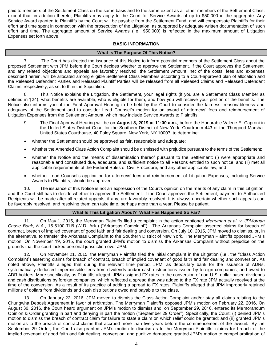paid to members of the Settlement Class on the same basis and to the same extent as all other members of the Settlement Class, except that, in addition thereto, Plaintiffs may apply to the Court for Service Awards of up to \$50,000 in the aggregate. Any Service Award granted to Plaintiffs by the Court will be payable from the Settlement Fund, and will compensate Plaintiffs for their effort and time spent in connection with the prosecution of the Litigation, as supported by adequate written documentation of such effort and time. The aggregate amount of Service Awards (i.e., \$50,000) is reflected in the maximum amount of Litigation Expenses set forth above.

## **BASIC INFORMATION**

### **What Is The Purpose Of This Notice?**

7. The Court has directed the issuance of this Notice to inform potential members of the Settlement Class about the proposed Settlement with JPM before the Court decides whether to approve the Settlement. If the Court approves the Settlement, and any related objections and appeals are favorably resolved, the Settlement Amount, net of the costs, fees and expenses described herein, will be allocated among eligible Settlement Class Members according to a Court-approved plan of allocation and the Released Defendant Parties and Released Plaintiff Parties will be released from all Released Claims and Released Defendant Claims, respectively, as set forth in the Stipulation.

8. This Notice explains the Litigation, the Settlement, your legal rights (if you are a Settlement Class Member as defined in ¶24), what benefits are available, who is eligible for them, and how you will receive your portion of the benefits. The Notice also informs you of the Final Approval Hearing to be held by the Court to consider the fairness, reasonableness and adequacy of the Settlement and to consider Lead Counsel's motion for an award of attorneys' fees and reimbursement of Litigation Expenses from the Settlement Amount, which may include Service Awards to Plaintiffs.

- 9. The Final Approval Hearing will be on **August 8, 2019 at 11:00 a.m.**, before the Honorable Valerie E. Caproni in the United States District Court for the Southern District of New York, Courtroom 443 of the Thurgood Marshall United States Courthouse, 40 Foley Square, New York, NY 10007, to determine:
- whether the Settlement should be approved as fair, reasonable and adequate;
- whether the Amended Class Action Complaint should be dismissed with prejudice pursuant to the terms of the Settlement;
- whether the Notice and the means of dissemination thereof pursuant to the Settlement: (i) were appropriate and reasonable and constituted due, adequate, and sufficient notice to all Persons entitled to such notice; and (ii) met all applicable requirements of the Federal Rules of Civil Procedure, and any other applicable law; and
- whether Lead Counsel's application for attorneys' fees and reimbursement of Litigation Expenses, including Service Awards to Plaintiffs, should be approved.

10. The issuance of this Notice is not an expression of the Court's opinion on the merits of any claim in this Litigation, and the Court still has to decide whether to approve the Settlement. If the Court approves the Settlement, payment to Authorized Recipients will be made after all related appeals, if any, are favorably resolved. It is always uncertain whether such appeals can be favorably resolved, and resolving them can take time, perhaps more than a year. Please be patient.

### **What Is This Litigation About? What Has Happened So Far?**

11. On May 1, 2015, the Merryman Plaintiffs filed a complaint in the action captioned *Merryman et al. v. JPMorgan Chase Bank, N.A.*, 15-5100-TLB (W.D. Ark.) ("Arkansas Complaint"). The Arkansas Complaint asserted claims for breach of contract, breach of implied covenant of good faith and fair dealing and conversion. On July 10, 2015, JPM moved to dismiss, or, in the alternative, to transfer the Arkansas Complaint to the Southern District of New York. The Merryman Plaintiffs opposed JPM's motion. On November 19, 2015, the court granted JPM's motion to dismiss the Arkansas Complaint without prejudice on the grounds that the court lacked personal jurisdiction over JPM.

12. On November 21, 2015, the Merryman Plaintiffs filed the initial complaint in the Litigation (i.e., the "Class Action Complaint") asserting claims for breach of contract, breach of implied covenant of good faith and fair dealing and conversion. As noted above, Plaintiffs alleged that during the relevant time period, JPM, as depositary bank for the issuance of ADRs, systematically deducted impermissible fees from dividends and/or cash distributions issued by foreign companies, and owed to ADR holders. More specifically, as Plaintiffs alleged, JPM assigned FX rates to the conversion of non-U.S. dollar-based dividends and cash distributions by foreign companies, which reflected a spread that was added to the FX rate JPM actually received at the time of the conversion. As a result of its practice of adding a spread to FX rates, Plaintiffs alleged that JPM improperly retained millions of dollars from dividends and cash distributions owed and payable to the class.

13. On January 22, 2016, JPM moved to dismiss the Class Action Complaint and/or stay all claims relating to the Chungwha Deposit Agreement in favor of arbitration. The Merryman Plaintiffs opposed JPM's motion on February 22, 2016. On August 30, 2016, the Court heard argument on JPM's motion to dismiss and, on September 29, 2016, entered its Memorandum Opinion & Order granting in part and denying in part the motion ("September 29 Order"). Specifically, the Court: (i) denied JPM's motion to dismiss the breach of contract claim for failure to state a claim on which relief could be granted; and (ii) granted JPM's motion as to the breach of contract claims that accrued more than five years before the commencement of the lawsuit. By the September 29 Order, the Court also granted JPM's motion to dismiss as to the Merryman Plaintiffs' claims for breach of the implied covenant of good faith and fair dealing, conversion, and punitive damages; granted JPM's motion to compel arbitration of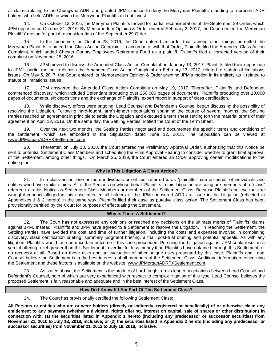all claims relating to the Chungwha ADR; and granted JPM's motion to deny the Merryman Plaintiffs' standing to represent ADR holders who held ADRs in which the Merryman Plaintiffs did not invest.

14. On October 13, 2016, the Merryman Plaintiffs moved for partial reconsideration of the September 29 Order, which JPM opposed on October 31, 2016. By Memorandum Opinion & Order entered February 2, 2017, the Court denied the Merryman Plaintiffs' motion for partial reconsideration of the September 29 Order.

15. In the meantime, on October 28, 2016, the Court entered an order that, among other things, permitted the Merryman Plaintiffs to amend the Class Action Complaint. In accordance with that Order, Plaintiffs filed the Amended Class Action Complaint, which added Chester County Employees Retirement Fund as a plaintiff. Plaintiffs filed a corrected version of their complaint on November 28, 2016.

16. JPM moved to dismiss the Amended Class Action Complaint on January 13, 2017. Plaintiffs filed their opposition to JPM's partial motion to dismiss the Amended Class Action Complaint on February 13, 2017, related to statute of limitations issues. On May 5, 2017, the Court entered its Memorandum Opinion & Order granting JPM's motion in its entirety as it related to statute of limitations issues.

17. JPM answered the Amended Class Action Complaint on May 19, 2017. Thereafter, Plaintiffs and Defendant commenced discovery, which included Defendant producing over 250,000 pages of documents, Plaintiffs producing over 10,000 pages of documents, six depositions and the exchange of Plaintiffs' expert report in support of class certification.

18. While discovery efforts were ongoing, Lead Counsel and Defendant's Counsel began discussing the possibility of resolving the Litigation. Following hard-fought, arm's-length negotiations spanning the course of several months, the Settling Parties reached an agreement in principle to settle the Litigation and executed a term sheet setting forth the material terms of their agreement on April 12, 2018. On the same day, the Settling Parties notified the Court of the Term Sheet.

19. Over the next two months, the Settling Parties negotiated and documented the specific terms and conditions of the Settlement, which are embodied in the Stipulation dated June 12, 2018. The Stipulation can be viewed at www.JPMorganADRFXSettlement.com.

20. Thereafter, on July 18, 2018, the Court entered the Preliminary Approval Order, authorizing that this Notice be sent to potential Settlement Class Members and scheduling the Final Approval Hearing to consider whether to grant final approval of the Settlement, among other things. On March 25, 2019, the Court entered an Order approving certain modifications to the notice plan.

## **Why Is This Litigation A Class Action?**

21. In a class action, one or more individuals or entities, referred to as "plaintiffs," sue on behalf of individuals and entities who have similar claims. All of the Persons on whose behalf Plaintiffs in this Litigation are suing are members of a "class" referred to in this Notice as Settlement Class Members or members of the Settlement Class. Because Plaintiffs believe that the wrongful conduct alleged in this case affected all holders of the JPM-sponsored ADRs at issue in the Litigation (reflected in Appendixes 1 & 2 hereto) in the same way, Plaintiffs filed their case as putative class action. The Settlement Class has been provisionally certified by the Court for purposes of effectuating the Settlement.

### **Why Is There A Settlement?**

22. The Court has not expressed any opinions or reached any decisions on the ultimate merits of Plaintiffs' claims against JPM. Instead, Plaintiffs and JPM have agreed to a Settlement to resolve the Litigation. In reaching the Settlement, the Settling Parties have avoided the cost and time of further litigation, including the costs and expenses involved in completing discovery, class certification briefing, summary judgment briefing, a trial, post-trial briefing and potential appeals. As with any litigation, Plaintiffs would face an uncertain outcome if this case proceeded. Pursuing the Litigation against JPM could result in a verdict offering relief greater than this Settlement, a verdict for less money than Plaintiffs have obtained through this Settlement, or no recovery at all. Based on these risks and an evaluation of other unique risks presented by this case, Plaintiffs and Lead Counsel believe the Settlement is in the best interests of all members of the Settlement Class. Additional information concerning the Settlement and these factors is available on the website, www.JPMorganADRFXSettlement.com.

23. As stated above, the Settlement is the product of hard-fought, arm's-length negotiations between Lead Counsel and Defendant's Counsel, both of which are very experienced with respect to complex litigation of this type. Lead Counsel believes the proposed Settlement is fair, reasonable and adequate and in the best interest of the Settlement Class.

## **How Do I Know If I Am Part Of The Settlement Class?**

24. The Court has provisionally certified the following Settlement Class:

**All Persons or entities who are or were holders (directly or indirectly, registered or beneficially) of or otherwise claim any entitlement to any payment (whether a dividend, rights offering, interest on capital, sale of shares or other distribution) in connection with: (1) the securities listed in Appendix 1 hereto (including any predecessor or successor securities) from November 21, 2010 to July 18, 2018, inclusive; or (2) the securities listed in Appendix 2 hereto (including any predecessor or successor securities) from November 21, 2012 to July 18, 2018, inclusive.**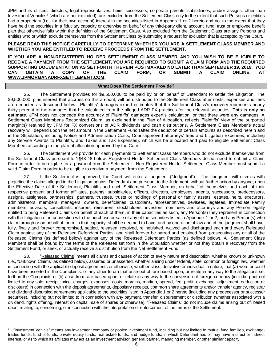JPM and its officers, directors, legal representatives, heirs, successors, corporate parents, subsidiaries, and/or assigns, other than Investment Vehicles<sup>2</sup> (which are not excluded), are excluded from the Settlement Class only to the extent that such Persons or entities had a proprietary (i.e*.*, for their own account) interest in the securities listed in Appendix 1 or 2 hereto and not to the extent that they have held the securities in a fiduciary capacity or otherwise on behalf of any third-party client, account, fund, trust or employee benefit plan that otherwise falls within the definition of the Settlement Class. Also excluded from the Settlement Class are any Persons and entities who or which exclude themselves from the Settlement Class by submitting a request for exclusion that is accepted by the Court.

### **PLEASE READ THIS NOTICE CAREFULLY TO DETERMINE WHETHER YOU ARE A SETTLEMENT CLASS MEMBER AND WHETHER YOU ARE ENTITLED TO RECEIVE PROCEEDS FROM THE SETTLEMENT.**

**IF YOU ARE A NON-REGISTERED HOLDER SETTLEMENT CLASS MEMBER AND YOU WISH TO BE ELIGIBLE TO RECEIVE A PAYMENT FROM THE SETTLEMENT, YOU ARE REQUIRED TO SUBMIT A CLAIM FORM AND THE REQUIRED SUPPORTING DOCUMENTATION AS SET FORTH THEREIN POSTMARKED NO LATER THAN SEPTEMBER 19, 2019. YOU CAN OBTAIN A COPY OF THE CLAIM FORM, OR SUBMIT A CLAIM ONLINE, AT WWW.JPMORGANADRFXSETTLEMENT.COM.**

#### **What Does The Settlement Provide?**

25. The Settlement provides for \$9,500,000 to be paid by or on behalf of Defendant to settle the Litigation. The \$9,500,000, plus interest that accrues on this amount, will be distributed to the Settlement Class after costs, expenses and fees are deducted as described below. Plaintiffs' damages expert estimates that the Settlement Class's recovery represents nearly thirty percent of the damages that he calculated from the alleged ADR FX practices for the relevant securities. **This is only an estimate.** JPM does not concede the accuracy of Plaintiffs' damages expert's calculation, or that there were any damages. A Settlement Class Member's Recognized Claim, as explained in the Plan of Allocation, reflects Plaintiffs' view of the purported margin(s) retained by JPM for FX conversions of ADR dividends and cash distributions. A Settlement Class Member's actual recovery will depend upon the net amount in the Settlement Fund (after the deduction of certain amounts as described herein and in the Stipulation, including Notice and Administration Costs, Court-approved attorneys' fees and Litigation Expenses, including any Service Awards to Plaintiffs, and Taxes and Tax Expenses), which will be allocated and paid to eligible Settlement Class Members according to the plan of allocation approved by the Court.

26. The Settlement will provide for cash payments to Settlement Class Members who do not exclude themselves from the Settlement Class pursuant to ¶¶43-48 below. Registered Holder Settlement Class Members do not need to submit a Claim Form in order to be eligible for a payment from the Settlement. Non-Registered Holder Settlement Class Member must submit a valid Claim Form in order to be eligible to receive a payment from the Settlement.

27. If the Settlement is approved, the Court will enter a judgment ("Judgment"). The Judgment will dismiss with prejudice the claims alleged in the Litigation against Defendant and pursuant to the Judgment, without further action by anyone, upon the Effective Date of the Settlement, Plaintiffs and each Settlement Class Member, on behalf of themselves and each of their respective present and former affiliates, parents, subsidiaries, officers, directors, employees, agents, successors, predecessors, assigns, assignees, partnerships, partners, trustees, trusts or holdings of personal or family assets, estates, heirs, executors, administrators, members, managers, owners, beneficiaries, custodians, representatives, devisees, legatees, Immediate Family members, advisors, consultants, insurers, reinsurers, stockholders, investors, nominees and attorneys and any Person legally entitled to bring Released Claims on behalf of each of them, in their capacities as such, any Person(s) they represent in connection with the Litigation or in connection with the purchase or sale of any of the securities listed in Appendix 1 or 2, and any Person(s) who claim through or on behalf of them, in that capacity, shall be deemed to have, and by operation of law and of the judgment shall have, fully, finally and forever compromised, settled, released, resolved, relinquished, waived and discharged each and every Released Claim against any of the Released Defendant Parties, and shall forever be barred and enjoined from prosecuting any or all of the Released Claims (as defined below) against any of the Released Defendant Parties (as defined below). All Settlement Class Members shall be bound by the terms of the Releases set forth in the Stipulation whether or not they obtain a recovery from the Settlement Fund, or seek, or actually receive a distribution from the Net Settlement Fund.

28. "Released Claims" means all claims and causes of action of every nature and description, whether known or unknown (i.e., "Unknown Claims" as defined below), asserted or unasserted, whether arising under federal, state, common or foreign law, whether in connection with the applicable deposit agreements or otherwise, whether class, derivative or individual in nature, that (a) were or could have been asserted in the Complaints, or any other forum that arise out of, are based upon, or relate in any way to the allegations set forth in the Complaints or (b) arise from, are based upon, or relate in any way to the conversion of foreign currency (including but not limited to any sale, receipt, price, charges, expenses, costs, margins, markup, spread, fee, profit, exchange, adjustment, deduction or disclosure) in connection with the deposit agreements, depositary receipts, common share agreements and/or transfer agency, registrar and dividend disbursing agreements applicable to the securities listed in Appendix 1 or 2 hereto (including any predecessor or successor securities), including but not limited to in connection with any payment, transfer, disbursement or distribution (whether associated with a dividend, rights offering, interest on capital, sale of shares or otherwise). "Released Claims" do not include claims arising out of, based upon, relating to, concerning, or in connection with the interpretation or enforcement of the terms of the Settlement.

 $\overline{a}$ 

 $2$  "Investment Vehicle" means any investment company or pooled investment fund, including but not limited to mutual fund families, exchangetraded funds, fund of funds, private equity funds, real estate funds, and hedge funds, in which Defendant has or may have a direct or indirect interest, or as to which its affiliates may act as an investment advisor, general partner, managing member, or other similar capacity.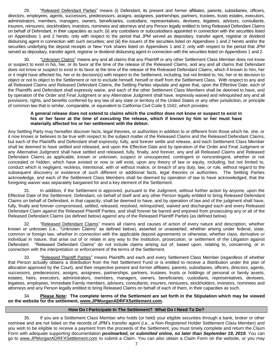29. "Released Defendant Parties" means (i) Defendant, its present and former affiliates, parents, subsidiaries, officers, directors, employees, agents, successors, predecessors, assigns, assignees, partnerships, partners, trustees, trusts estates, executors, administrators, members, managers, owners, beneficiaries, custodians, representatives, devisees, legatees, advisors, consultants, insurers, reinsurers, stockholders, investors, nominees and attorneys and any Person legally entitled to bring Released Defendant Claims on behalf of Defendant, in their capacities as such; (ii) any custodians or subcustodians appointed in connection with the securities listed on Appendixes 1 and 2 hereto, only with respect to the period that JPM served as depositary, transfer agent, registrar or dividend disbursing agent in connection with such securities; and (iii) the issuers of the securities listed on Appendixes 1 and 2 hereto and/or the securities underlying the deposit receipts or New York shares listed on Appendixes 1 and 2, only with respect to the period that JPM served as depositary, transfer agent, registrar or dividend disbursing agent in connection with the securities listed on Appendixes 1 and 2.

30. "Unknown Claims" means any and all claims that any Plaintiff or any other Settlement Class Member does not know or suspect to exist in his, her, or its favor at the time of the release of the Released Claims, and any and all claims that Defendant does not know or suspect to exist in its favor at the time of the release of the Released Defendant Claims, which if known to him, her or it might have affected his, her or its decision(s) with respect to the Settlement, including, but not limited to, his, her or its decision to object or not to object to the Settlement or not to exclude himself, herself or itself from the Settlement Class. With respect to any and all Released Claims and Released Defendant Claims, the Settling Parties stipulate and agree that, upon the Effective Date, each of the Plaintiffs and Defendant shall expressly waive, and each of the other Settlement Class Members shall be deemed to have, and by operation of the Order and Final Judgment or any Alternative Judgment shall have, expressly waived and relinquished any and all provisions, rights, and benefits conferred by any law of any state or territory of the United States or any other jurisdiction, or principle of common law that is similar, comparable, or equivalent to California Civil Code § 1542, which provides:

#### **A general release does not extend to claims which the creditor does not know or suspect to exist in his or her favor at the time of executing the release, which if known by him or her must have materially affected his or her settlement with the debtor.**

Any Settling Party may hereafter discover facts, legal theories, or authorities in addition to or different from those which he, she, or it now knows or believes to be true with respect to the subject matter of the Released Claims and the Released Defendant Claims, but each of the Plaintiffs and Defendant shall expressly, fully, and forever settle and release, and each Settlement Class Member shall be deemed to have settled and released, and upon the Effective Date and by operation of the Order and Final Judgment or any Alternative Judgment shall have settled and released, fully, finally, and forever, any and all Released Claims and Released Defendant Claims as applicable, known or unknown, suspect or unsuspected, contingent or noncontingent, whether or not concealed or hidden, which have existed or now or will exist, upon any theory of law or equity, including, but not limited to, conduct which is negligent, reckless, intentional, with or without malice, or breach of any duty, law, or rule, without regard to the subsequent discovery or existence of such different or additional facts, legal theories or authorities. The Settling Parties acknowledge, and each of the Settlement Class Members shall be deemed by operation of law to have acknowledged, that the foregoing waiver was separately bargained for and a key element of the Settlement.

31. In addition, if the Settlement is approved, pursuant to the Judgment, without further action by anyone, upon the Effective Date of the Settlement, Defendant, on behalf of itself and any other Person legally entitled to bring Released Defendant Claims on behalf of Defendant, in that capacity, shall be deemed to have, and by operation of law and of the judgment shall have, fully, finally and forever compromised, settled, released, resolved, relinquished, waived and discharged each and every Released Defendant Claim against the Released Plaintiff Parties, and shall forever be barred and enjoined from prosecuting any or all of the Released Defendant Claims (as defined below) against any of the Released Plaintiff Parties (as defined below).

32. "Released Defendant Claims" means all claims and causes of action of every nature and description, whether known or unknown (i.e., "Unknown Claims" as defined below), asserted or unasserted, whether arising under federal, state, common or foreign law, whether in connection with the applicable deposit agreements or otherwise, whether class, derivative or individual in nature, that arise out of or relate in any way to the institution, prosecution, or settlement of the Litigation against Defendant. "Released Defendant Claims" do not include claims arising out of, based upon, relating to, concerning, or in connection with the interpretation or enforcement of the terms of the Settlement.

33. "Released Plaintiff Parties" means Plaintiffs and each and every Settlement Class Member (regardless of whether that Person actually obtains a distribution from the Net Settlement Fund or is entitled to receive a distribution under the plan of allocation approved by the Court), and their respective present and former affiliates, parents, subsidiaries, officers, directors, agents, successors, predecessors, assigns, assignees, partnerships, partners, trustees, trusts or holdings of personal or family assets, estates, heirs, executors, administrators, members, managers, owners, beneficiaries, custodians, representatives, devisees, legatees, employees, Immediate Family members, advisors, consultants, insurers, reinsurers, stockholders, investors, nominees and attorneys and any Person legally entitled to bring Released Claims on behalf of each of them, in their capacities as such.

## 34. **Please Note: The complete terms of the Settlement are set forth in the Stipulation which may be viewed on the website for the settlement, www.JPMorganADRFXSettlement.com.**

## **How Do I Participate In The Settlement? What Do I Need To Do?**

35. If you are a Settlement Class Member who holds (or held) your eligible securities through a bank, broker or other nominee and are not listed on the records of JPM's transfer agent (i.e., a Non-Registered Holder Settlement Class Member) and you wish to be eligible to receive a payment from the proceeds of the Settlement, you must timely complete and return the Claim Form with adequate supporting documentation *postmarked, or submitted online, no later than September 19, 2019.* You can go to www.JPMorganADRFXSettlement.com to submit a Claim. You can also obtain a Claim Form on the website, or you may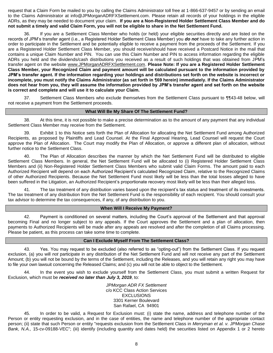request that a Claim Form be mailed to you by calling the Claims Administrator toll free at 1-866-637-9457 or by sending an email to the Claims Administrator at info@JPMorganADRFXSettlement.com. Please retain all records of your holdings in the eligible ADRs, as they may be needed to document your claim. **If you are a Non-Registered Holder Settlement Class Member and do not submit a timely and valid Claim Form, you will not be eligible to share in the Net Settlement Fund.**

36. If you are a Settlement Class Member who holds (or held) your eligible securities directly and are listed on the records of JPM's transfer agent (i.e., a Registered Holder Settlement Class Member) you *do not* have to take any further action in order to participate in the Settlement and be potentially eligible to receive a payment from the proceeds of the Settlement. If you are a Registered Holder Settlement Class Member, you should receive/should have received a Postcard Notice in the mail that contains a unique Claim Number and PIN. You can use this Claim Number and PIN to access information regarding the eligible ADRs you held and the dividends/cash distributions you received as a result of such holdings that was obtained from JPM's transfer agent on the website www.JPMorganADRFXSettlement.com. **Please Note: If you are a Registered Holder Settlement Class Member, your Recognized Claim and payment amount will be calculated pursuant to the information provided by JPM's transfer agent. If the information regarding your holdings and distributions set forth on the website is incorrect or incomplete, you must notify the Claims Administrator (as set forth in ¶69 herein) immediately. If the Claims Administrator does not hear from you, they will assume the information provided by JPM's transfer agent and set forth on the website is correct and complete and will use it to calculate your Claim.**

37. Settlement Class Members who exclude themselves from the Settlement Class pursuant to ¶¶43-48 below, will not receive a payment from the Settlement proceeds.

## **What Will Be My Share Of The Settlement Fund?**

38. At this time, it is not possible to make a precise determination as to the amount of any payment that any individual Settlement Class Member may receive from the Settlement.

39. Exhibit 1 to this Notice sets forth the Plan of Allocation for allocating the Net Settlement Fund among Authorized Recipients, as proposed by Plaintiffs and Lead Counsel. At the Final Approval Hearing, Lead Counsel will request the Court approve the Plan of Allocation. The Court may modify the Plan of Allocation, or approve a different plan of allocation, without further notice to the Settlement Class.

40. The Plan of Allocation describes the manner by which the Net Settlement Fund will be distributed to eligible Settlement Class Members. In general, the Net Settlement Fund will be allocated to (i) Registered Holder Settlement Class Members and (ii) Non-Registered Holder Settlement Class Members who submit valid Claim Forms. The amount paid to each Authorized Recipient will depend on each Authorized Recipient's calculated Recognized Claim, relative to the Recognized Claims of other Authorized Recipients. Because the Net Settlement Fund most likely will be less than the total losses alleged to have been suffered in the Litigation, an Authorized Recipient's proportionate recovery most likely will be less than their alleged loss.

41. The tax treatment of any distribution varies based upon the recipient's tax status and treatment of its investments. The tax treatment of any distribution from the Net Settlement Fund is the responsibility of each recipient. You should consult your tax advisor to determine the tax consequences, if any, of any distribution to you.

### **When Will I Receive My Payment?**

42. Payment is conditioned on several matters, including the Court's approval of the Settlement and that approval becoming Final and no longer subject to any appeals. If the Court approves the Settlement and a plan of allocation, then payments to Authorized Recipients will be made after any appeals are resolved and after the completion of all Claims processing. Please be patient, as this process can take some time to complete.

## **Can I Exclude Myself From The Settlement Class?**

43. Yes. You may request to be excluded (also referred to as "opting-out") from the Settlement Class. If you request exclusion, (a) you will *not* participate in any distribution of the Net Settlement Fund and will not receive any part of the Settlement Amount; (b) you will not be bound by the terms of the Settlement, including the Releases, and you will retain any right you may have to file your own lawsuit concerning the Released Claims; and (c) you will not be able to object to the Settlement.

44. In the event you wish to exclude yourself from the Settlement Class, you must submit a written Request for Exclusion, which must be *received no later than July 3, 2019*, to:

> *JPMorgan ADR FX Settlement* c/o KCC Class Action Services **EXCLUSIONS** 3301 Kerner Boulevard San Rafael, CA 94901

45. In order to be valid, a Request for Exclusion must: (i) state the name, address and telephone number of the Person or entity requesting exclusion, and in the case of entities, the name and telephone number of the appropriate contact person; (ii) state that such Person or entity "requests exclusion from the Settlement Class in *Merryman et al. v. JPMorgan Chase Bank, N.A.,* 15-cv-09188-VEC"; (iii) identify (including quantity and dates held) the securities listed on Appendix 1 or 2 hereto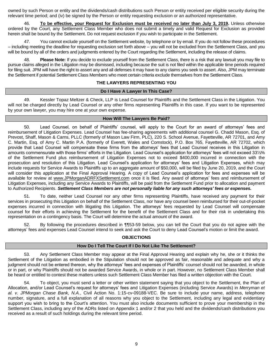owned by such Person or entity and the dividends/cash distributions such Person or entity received per eligible security during the relevant time period; and (iv) be signed by the Person or entity requesting exclusion or an authorized representative.

46. **To be effective, your Request for Exclusion must be received no later than July 3, 2019.** Unless otherwise ordered by the Court, any Settlement Class Member who does not submit a timely and valid Request for Exclusion as provided herein shall be bound by the Settlement. Do not request exclusion if you wish to participate in the Settlement.

47. You cannot exclude yourself on the Settlement website, by telephone or by email. If you do not follow these procedures – including meeting the deadline for requesting exclusion set forth above – you will not be excluded from the Settlement Class, and you will be bound by all of the orders and judgments entered by the Court regarding the Settlement, including the release of claims.

48. **Please Note:** If you decide to exclude yourself from the Settlement Class, there is a risk that any lawsuit you may file to pursue claims alleged in the Litigation may be dismissed, including because the suit is not filed within the applicable time periods required for filing suit. JPM will have the right to assert any and all defenses it may have to any claims you seek to assert. Also, JPM may terminate the Settlement if potential Settlement Class Members who meet certain criteria exclude themselves from the Settlement Class.

## **THE LAWYERS REPRESENTING YOU**

### **Do I Have A Lawyer In This Case?**

49. Kessler Topaz Meltzer & Check, LLP is Lead Counsel for Plaintiffs and the Settlement Class in the Litigation. You will not be charged directly by Lead Counsel or any other firms representing Plaintiffs in this case. If you want to be represented by your own lawyer, you may hire one at your own expense.

## **How Will The Lawyers Be Paid?**

50. Lead Counsel, on behalf of Plaintiffs' counsel, will apply to the Court for an award of attorneys' fees and reimbursement of Litigation Expenses. Lead Counsel has fee-sharing agreements with additional counsel G. Chadd Mason, Esq. of Prevost, Shaff, Mason & Carns, PLLC (formerly of Mason Law Firm, PLC), 220 S. School Avenue, Fayetteville, AR 72701, and Amy C. Martin, Esq. of Amy C. Martin P.A. (formerly of Everett, Wales and Comstock), P.O. Box 765, Fayetteville, AR 72702, which provide that Lead Counsel will compensate these firms from the attorneys' fees that Lead Counsel receives in this Litigation in amounts commensurate with those firms' efforts in the Litigation. Lead Counsel's application for attorneys' fees will not exceed 33⅓% of the Settlement Fund plus reimbursement of Litigation Expenses not to exceed \$400,000 incurred in connection with the prosecution and resolution of this Litigation. Lead Counsel's application for attorneys' fees and Litigation Expenses, which may include requests for Service Awards to Plaintiffs up to an aggregate amount of \$50,000, will be filed by June 20, 2019, and the Court will consider this application at the Final Approval Hearing. A copy of Lead Counsel's application for fees and expenses will be available for review at www.JPMorganADRFXSettlement.com once it is filed. Any award of attorneys' fees and reimbursement of Litigation Expenses, including any Service Awards to Plaintiffs, will be paid from the Settlement Fund prior to allocation and payment to Authorized Recipients. *Settlement Class Members are not personally liable for any such attorneys' fees or expenses.*

51. To date, neither Lead Counsel nor any other firms representing Plaintiffs, have received any payment for their services in prosecuting this Litigation on behalf of the Settlement Class, nor have any counsel been reimbursed for their out-of-pocket expenses incurred in connection with litigating this Litigation. The attorneys' fees requested by Lead Counsel will compensate counsel for their efforts in achieving the Settlement for the benefit of the Settlement Class and for their risk in undertaking this representation on a contingency basis. The Court will determine the actual amount of the award.

52. By following the procedures described in ¶¶53-59 below, you can tell the Court that you do not agree with the attorneys' fees and expenses Lead Counsel intend to seek and ask the Court to deny Lead Counsel's motion or limit the award.

## **OBJECTIONS**

### **How Do I Tell The Court If I Do Not Like The Settlement?**

53. Any Settlement Class Member may appear at the Final Approval Hearing and explain why he, she or it thinks the Settlement of the Litigation as embodied in the Stipulation should not be approved as fair, reasonable and adequate and why a judgment should not be entered thereon, why the attorneys' fees and expenses of Plaintiffs' counsel should not be awarded, in whole or in part, or why Plaintiffs should not be awarded Service Awards, in whole or in part. However, no Settlement Class Member shall be heard or entitled to contest these matters unless such Settlement Class Member has filed a written objection with the Court.

54. To object, you must send a letter or other written statement saying that you object to the Settlement, the Plan of Allocation, and/or Lead Counsel's request for attorneys' fees and Litigation Expenses (including Service Awards) in *Merryman et al. v. JPMorgan Chase Bank, N.A.*, Civil Action No. 1:15-cv-09188-VEC. Be sure to include your name, address, telephone number, signature, and a full explanation of all reasons why you object to the Settlement, including any legal and evidentiary support you wish to bring to the Court's attention. You must also include documents sufficient to prove your membership in the Settlement Class, including any of the ADRs listed on Appendix 1 and/or 2 that you held and the dividends/cash distributions you received as a result of such holdings during the relevant time period.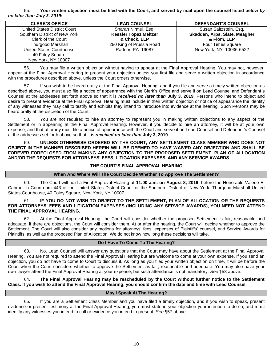## 55. **Your written objection must be filed with the Court, and served by mail upon the counsel listed below** *by no later than July 3, 2019***:**

| <b>CLERK'S OFFICE</b>         | <b>LEAD COUNSEL</b>          | <b>DEFENDANT'S COUNSEL</b>    |
|-------------------------------|------------------------------|-------------------------------|
| United States District Court  | Sharan Nirmul, Esq.          | Susan Saltzstein, Esq.        |
| Southern District of New York | <b>Kessler Topaz Meltzer</b> | Skadden, Arps, Slate, Meagher |
| Clerk of the Court            | & Check, LLP                 | & Flom, LLP                   |
| <b>Thurgood Marshall</b>      | 280 King of Prussia Road     | <b>Four Times Square</b>      |
| United States Courthouse      | Radnor, PA 19087             | New York, NY 10036-6522       |
| 40 Foley Square               |                              |                               |
| New York, NY 10007            |                              |                               |
|                               |                              |                               |

56. You may file a written objection without having to appear at the Final Approval Hearing. You may not, however, appear at the Final Approval Hearing to present your objection unless you first file and serve a written objection in accordance with the procedures described above, unless the Court orders otherwise.

57. If you wish to be heard orally at the Final Approval Hearing, and if you file and serve a timely written objection as described above, you must also file a notice of appearance with the Clerk's Office and serve it on Lead Counsel and Defendant's Counsel at the addresses set forth above so that it is *received no later than* **July 3, 2019**. Persons who intend to object and desire to present evidence at the Final Approval Hearing must include in their written objection or notice of appearance the identity of any witnesses they may call to testify and exhibits they intend to introduce into evidence at the hearing. Such Persons may be heard orally at the discretion of the Court.

58. You are not required to hire an attorney to represent you in making written objections to any aspect of the Settlement or in appearing at the Final Approval Hearing. However, if you decide to hire an attorney, it will be at your own expense, and that attorney must file a notice of appearance with the Court and serve it on Lead Counsel and Defendant's Counsel at the addresses set forth above so that it is *received no later than* **July 3, 2019**.

59. **UNLESS OTHERWISE ORDERED BY THE COURT, ANY SETTLEMENT CLASS MEMBER WHO DOES NOT OBJECT IN THE MANNER DESCRIBED HEREIN WILL BE DEEMED TO HAVE WAIVED ANY OBJECTION AND SHALL BE FOREVER FORECLOSED FROM MAKING ANY OBJECTION TO THE PROPOSED SETTLEMENT, PLAN OF ALLOCATION AND/OR THE REQUESTS FOR ATTORNEYS' FEES, LITIGATION EXPENSES, AND ANY SERVICE AWARDS.**

### **THE COURT'S FINAL APPROVAL HEARING**

### **When And Where Will The Court Decide Whether To Approve The Settlement?**

60. The Court will hold a Final Approval Hearing at **11:00 a.m. on August 8, 2019**, before the Honorable Valerie E. Caproni in Courtroom 443 of the United States District Court for the Southern District of New York, Thurgood Marshall United States Courthouse, 40 Foley Square, New York, NY 10007.

### 61. **IF YOU DO NOT WISH TO OBJECT TO THE SETTLEMENT, PLAN OF ALLOCATION OR THE REQUESTS FOR ATTORNEYS' FEES AND LITIGATION EXPENSES (INCLUDING ANY SERVICE AWARDS), YOU NEED NOT ATTEND THE FINAL APPROVAL HEARING.**

62. At the Final Approval Hearing, the Court will consider whether the proposed Settlement is fair, reasonable and adequate. If there are objections, the Court will consider them. At or after the hearing, the Court will decide whether to approve the Settlement. The Court will also consider any motions for attorneys' fees, expenses of Plaintiffs' counsel, and Service Awards for Plaintiffs, as well as the proposed Plan of Allocation. We do not know how long these decisions will take.

## **Do I Have To Come To The Hearing?**

63. No. Lead Counsel will answer any questions that the Court may have about the Settlement at the Final Approval Hearing. You are not required to attend the Final Approval Hearing but are welcome to come at your own expense. If you send an objection, you do not have to come to Court to discuss it. As long as you filed your written objection on time, it will be before the Court when the Court considers whether to approve the Settlement as fair, reasonable and adequate. You may also have your own lawyer attend the Final Approval Hearing at your expense, but such attendance is not mandatory. *See* ¶58 above.

## 64. **The Final Approval Hearing may be rescheduled by the Court without further notice to the Settlement Class. If you wish to attend the Final Approval Hearing, you should confirm the date and time with Lead Counsel.**

### **May I Speak At The Hearing?**

65. If you are a Settlement Class Member and you have filed a timely objection, and if you wish to speak, present evidence or present testimony at the Final Approval Hearing, you must state in your objection your intention to do so, and must identify any witnesses you intend to call or evidence you intend to present. *See* ¶57 above.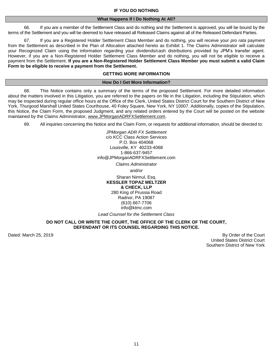#### **IF YOU DO NOTHING**

#### **What Happens If I Do Nothing At All?**

66. If you are a member of the Settlement Class and do nothing and the Settlement is approved, you will be bound by the terms of the Settlement and you will be deemed to have released all Released Claims against all of the Released Defendant Parties.

67. If you are a Registered Holder Settlement Class Member and do nothing, you will receive your *pro rata* payment from the Settlement as described in the Plan of Allocation attached hereto as Exhibit 1. The Claims Administrator will calculate your Recognized Claim using the information regarding your dividends/cash distributions provided by JPM's transfer agent. However, if you are a Non-Registered Holder Settlement Class Member and do nothing, you will not be eligible to receive a payment from the Settlement. **If you are a Non-Registered Holder Settlement Class Member you must submit a valid Claim Form to be eligible to receive a payment from the Settlement.** 

## **GETTING MORE INFORMATION**

#### **How Do I Get More Information?**

68. This Notice contains only a summary of the terms of the proposed Settlement. For more detailed information about the matters involved in this Litigation, you are referred to the papers on file in the Litigation, including the Stipulation, which may be inspected during regular office hours at the Office of the Clerk, United States District Court for the Southern District of New York, Thurgood Marshall United States Courthouse, 40 Foley Square, New York, NY 10007. Additionally, copies of the Stipulation, this Notice, the Claim Form, the proposed Judgment, and any related orders entered by the Court will be posted on the website maintained by the Claims Administrator, www.JPMorganADRFXSettlement.com.

69. All inquiries concerning this Notice and the Claim Form, or requests for additional information, should be directed to:

*JPMorgan ADR FX Settlement* c/o KCC Class Action Services P.O. Box 404068 Louisville, KY 40233-4068 1-866-637-9457 [info@JPMorganADRFXSettlement.com](mailto:info@JPMorganADRFXSettlement.com)

*Claims Administrator* and/or Sharan Nirmul, Esq. **KESSLER TOPAZ MELTZER & CHECK, LLP**  280 King of Prussia Road Radnor, PA 19087 (610) 667-7706 info@ktmc.com

*Lead Counsel for the Settlement Class*

### **DO NOT CALL OR WRITE THE COURT, THE OFFICE OF THE CLERK OF THE COURT, DEFENDANT OR ITS COUNSEL REGARDING THIS NOTICE.**

Dated: March 25, 2019 By Order of the Court and the Court and the Court and the Court and the Court and the Court United States District Court Southern District of New York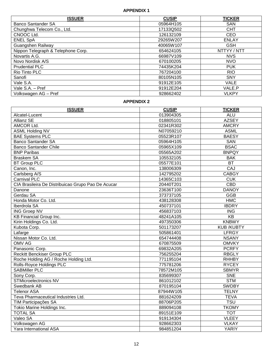## **APPENDIX 1**

| <b>ISSUER</b>                      | <b>CUSIP</b> | TICKER       |
|------------------------------------|--------------|--------------|
| Banco Santander SA                 | 05964H105    | <b>SAN</b>   |
| Chunghwa Telecom Co., Ltd.         | 17133Q502    | <b>CHT</b>   |
| CNOOC Ltd.                         | 126132109    | <b>CEO</b>   |
| <b>ENEL SpA</b>                    | 29265W207    | <b>ENLAY</b> |
| Guangshen Railway                  | 40065W107    | <b>GSH</b>   |
| Nippon Telegraph & Telephone Corp. | 654624105    | NTTYY / NTT  |
| Novartis A.G.                      | 66987V109    | <b>NVS</b>   |
| Novo Nordisk A/S                   | 670100205    | <b>NVO</b>   |
| <b>Prudential PLC</b>              | 74435K204    | <b>PUK</b>   |
| Rio Tinto PLC                      | 767204100    | <b>RIO</b>   |
| Sanofi                             | 80105N105    | <b>SNY</b>   |
| Vale S.A.                          | 91912E105    | <b>VALE</b>  |
| Vale S.A. - Pref                   | 91912E204    | VALE.P       |
| Volkswagen AG - Pref               | 928662402    | <b>VLKPY</b> |

## **APPENDIX 2**

| <b>ISSUER</b>                                      | <b>CUSIP</b> | <b>TICKER</b>           |
|----------------------------------------------------|--------------|-------------------------|
| Alcatel-Lucent                                     | 013904305    | <b>ALU</b>              |
| <b>Allianz SE</b>                                  | 018805101    | <b>AZSEY</b>            |
| AMCOR Ltd.                                         | 02341R302    | <b>AMCRY</b>            |
| <b>ASML Holding NV</b>                             | N07059210    | <b>ASML</b>             |
| <b>BAE Systems PLC</b>                             | 05523R107    | <b>BAESY</b>            |
| <b>Banco Santander SA</b>                          | 05964H105    | <b>SAN</b>              |
| <b>Banco Santander Chile</b>                       | 05965X109    | <b>BSAC</b>             |
| <b>BNP Paribas</b>                                 | 05565A202    | <b>BNPQY</b>            |
| <b>Braskem SA</b>                                  | 105532105    | <b>BAK</b>              |
| <b>BT Group PLC</b>                                | 05577E101    | BT                      |
| Canon, Inc.                                        | 138006309    | CAJ                     |
| Carlsberg A/S                                      | 142795202    | <b>CABGY</b>            |
| <b>Carnival PLC</b>                                | 14365C103    | CUK                     |
| CIA Brasileira De Distribuicao Grupo Pao De Acucar | 20440T201    | <b>CBD</b>              |
| Danone                                             | 23636T100    | <b>DANOY</b>            |
| Gerdau SA                                          | 373737105    | <b>GGB</b>              |
| Honda Motor Co. Ltd.                               | 438128308    | <b>HMC</b>              |
| Iberdrola SA                                       | 450737101    | <b>IBDRY</b>            |
| <b>ING Groep NV</b>                                | 456837103    | $\overline{\text{ING}}$ |
| <b>KB Financial Group Inc.</b>                     | 48241A105    | $\overline{KB}$         |
| Kirin Holdings Co. Ltd.                            | 497350306    | <b>KNBWY</b>            |
| Kubota Corp.                                       | 501173207    | <b>KUB /KUBTY</b>       |
| Lafarge                                            | 505861401    | <b>LFRGY</b>            |
| Nissan Motor Co. Ltd.                              | 654744408    | <b>NSANY</b>            |
| <b>OMV AG</b>                                      | 670875509    | <b>OMVKY</b>            |
| Panasonic Corp.                                    | 69832A205    | <b>PCRFY</b>            |
| <b>Reckitt Benckiser Group PLC</b>                 | 756255204    | <b>RBGLY</b>            |
| Roche Holding AG / Roche Holding Ltd.              | 771195104    | <b>RHHBY</b>            |
| <b>Rolls-Royce Holdings PLC</b>                    | 775781206    | <b>RYCEY</b>            |
| <b>SABMiller PLC</b>                               | 78572M105    | <b>SBMYR</b>            |
| Sony Corp.                                         | 835699307    | <b>SNE</b>              |
| <b>STMicroelectronics NV</b>                       | 861012102    | <b>STM</b>              |
| Swedbank AB                                        | 870195104    | <b>SWDBY</b>            |
| <b>Telenor ASA</b>                                 | 87944W105    | <b>TELNY</b>            |
| Teva Pharmaceutical Industries Ltd.                | 881624209    | <b>TEVA</b>             |
| TIM Participações SA                               | 88706P205    | <b>TSU</b>              |
| Tokio Marine Holdings Inc.                         | 889094108    | <b>TKOMY</b>            |
| <b>TOTAL SA</b>                                    | 89151E109    | <b>TOT</b>              |
| Valeo SA                                           | 919134304    | <b>VLEEY</b>            |
| Volkswagen AG                                      | 928662303    | <b>VLKAY</b>            |
| Yara International ASA                             | 984851204    | <b>YARIY</b>            |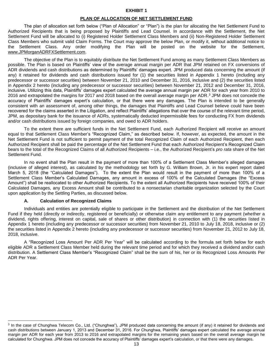#### **EXHIBIT 1**

#### **PLAN OF ALLOCATION OF NET SETTLEMENT FUND**

The plan of allocation set forth below ("Plan of Allocation" or "Plan") is the plan for allocating the Net Settlement Fund to Authorized Recipients that is being proposed by Plaintiffs and Lead Counsel. In accordance with the Settlement, the Net Settlement Fund will be allocated to (i) Registered Holder Settlement Class Members and (ii) Non-Registered Holder Settlement Class Members who submit valid Claim Forms. The Court may approve the below Plan, or modify it, without additional notice to the Settlement Class. Any order modifying the Plan will be posted on the website for the Settlement, www.JPMorganADRFXSettlement.com.

The objective of the Plan is to equitably distribute the Net Settlement Fund among as many Settlement Class Members as possible. The Plan is based on Plaintiffs' view of the average annual margin per ADR that JPM retained on FX conversions of ADR dividends and cash distributions as determined by Plaintiffs' damages expert. JPM produced data concerning the amount (if any) it retained for dividends and cash distributions issued for (1) the securities listed in Appendix 1 hereto (including any predecessor or successor securities) between November 21, 2010 and December 31, 2016, inclusive and (2) the securities listed in Appendix 2 hereto (including any predecessor or successor securities) between November 21, 2012 and December 31, 2016, inclusive. Utilizing this data, Plaintiffs' damages expert calculated the average annual margin per ADR for each year from 2010 to 2016 and extrapolated the margins for 2017 and 2018 based on the overall average margin per ADR.<sup>3</sup> JPM does not concede the accuracy of Plaintiffs' damages expert's calculation, or that there were any damages. The Plan is intended to be generally consistent with an assessment of, among other things, the damages that Plaintiffs and Lead Counsel believe could have been recovered for the claims asserted in the Litigation, and reflect Plaintiffs' allegations that over the course of the relevant time period, JPM, as depositary bank for the issuance of ADRs, systematically deducted impermissible fees for conducting FX from dividends and/or cash distributions issued by foreign companies, and owed to ADR holders.

To the extent there are sufficient funds in the Net Settlement Fund, each Authorized Recipient will receive an amount equal to that Settlement Class Member's "Recognized Claim," as described below. If, however, as expected, the amount in the Net Settlement Fund is not sufficient to permit payment of the total Recognized Claim of each Authorized Recipient, then each Authorized Recipient shall be paid the percentage of the Net Settlement Fund that each Authorized Recipient's Recognized Claim bears to the total of the Recognized Claims of all Authorized Recipients – i.e., the Authorized Recipient's *pro rata* share of the Net Settlement Fund.

In no event shall the Plan result in the payment of more than 100% of a Settlement Class Member's alleged damages (inclusive of alleged interest), as calculated by the methodology set forth by G. William Brown, Jr. in his expert report dated March 5, 2018 (the "Calculated Damages"). To the extent the Plan would result in the payment of more than 100% of a Settlement Class Member's Calculated Damages, any amount in excess of 100% of the Calculated Damages (the "Excess Amount") shall be reallocated to other Authorized Recipients. To the extent all Authorized Recipients have received 100% of their Calculated Damages, any Excess Amount shall be contributed to a nonsectarian charitable organization selected by the Court upon application by the Settling Parties, as discussed below.

#### **A. Calculation of Recognized Claims**

 $\overline{a}$ 

Individuals and entities are potentially eligible to participate in the Settlement and the distribution of the Net Settlement Fund if they held (directly or indirectly, registered or beneficially) or otherwise claim any entitlement to any payment (whether a dividend, rights offering, interest on capital, sale of shares or other distribution) in connection with (1) the securities listed in Appendix 1 hereto (including any predecessor or successor securities) from November 21, 2010 to July 18, 2018, inclusive or (2) the securities listed in Appendix 2 hereto (including any predecessor or successor securities) from November 21, 2012 to July 18, 2018, inclusive.

A "Recognized Loss Amount Per ADR Per Year" will be calculated according to the formula set forth below for each eligible ADR a Settlement Class Member held during the relevant time period and for which they received a dividend and/or cash distribution. A Settlement Class Member's "Recognized Claim" shall be the sum of his, her or its Recognized Loss Amounts Per ADR Per Year.

<sup>&</sup>lt;sup>3</sup> In the case of Chunghwa Telecom Co., Ltd. ("Chunghwa"), JPM produced data concerning the amount (if any) it retained for dividends and cash distributions between January 1, 2013 and December 31, 2016. For Chunghwa, Plaintiffs' damages expert calculated the average annual margin per ADR for each year from 2013 to 2016 and extrapolated margins for the remaining years based on the overall average margin he calculated for Chunghwa. JPM does not concede the accuracy of Plaintiffs' damages expert's calculation, or that there were any damages.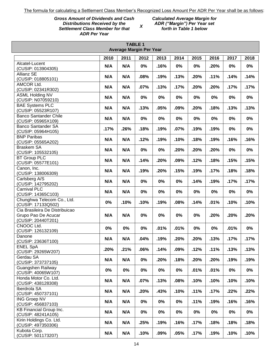*X*

## *Gross Amount of Dividends and Cash Distributions Received by the Settlement Class Member for that ADR Per Year*

*Calculated Average Margin for ADR ("Margin") Per Year set forth in Table 1 below*

| <b>TABLE 1</b><br><b>Average Margin Per Year</b>     |      |       |       |       |       |      |      |       |       |
|------------------------------------------------------|------|-------|-------|-------|-------|------|------|-------|-------|
|                                                      | 2010 | 2011  | 2012  | 2013  | 2014  | 2015 | 2016 | 2017  | 2018  |
| Alcatel-Lucent                                       |      |       |       |       |       |      |      |       |       |
| (CUSIP: 013904305)                                   | N/A  | N/A   | 0%    | .16%  | 0%    | 0%   | .20% | 0%    | 0%    |
| <b>Allianz SE</b>                                    |      | N/A   |       |       |       |      |      |       |       |
| (CUSIP: 018805101)                                   | N/A  |       | .08%  | .19%  | .13%  | .20% | .11% | .14%  | .14%  |
| AMCOR Ltd.                                           | N/A  | N/A   | .07%  | .13%  | .17%  | .20% | .20% | .17%  | .17%  |
| (CUSIP: 02341R302)                                   |      |       |       |       |       |      |      |       |       |
| <b>ASML Holding NV</b><br>(CUSIP: N07059210)         | N/A  | N/A   | 0%    | 0%    | 0%    | 0%   | 0%   | 0%    | 0%    |
| <b>BAE Systems PLC</b><br>(CUSIP: 05523R107)         | N/A  | N/A   | .13%  | .05%  | .09%  | .20% | .18% | .13%  | .13%  |
| <b>Banco Santander Chile</b>                         |      |       |       |       |       |      |      |       |       |
| (CUSIP: 05965X109)                                   | N/A  | N/A   | 0%    | 0%    | 0%    | 0%   | 0%   | 0%    | 0%    |
| <b>Banco Santander SA</b>                            | .17% | .26%  | .18%  | .19%  | .07%  | .19% | .19% | 0%    | 0%    |
| (CUSIP: 05964H105)                                   |      |       |       |       |       |      |      |       |       |
| <b>BNP Paribas</b><br>(CUSIP: 05565A202)             | N/A  | N/A   | .12%  | .19%  | .10%  | .18% | .19% | .16%  | .16%  |
| <b>Braskem SA</b>                                    | N/A  | N/A   | 0%    | 0%    | .20%  | .20% | .20% | 0%    | 0%    |
| (CUSIP: 105532105)                                   |      |       |       |       |       |      |      |       |       |
| <b>BT Group PLC</b><br>(CUSIP: 05577E101)            | N/A  | N/A   | .14%  | .20%  | .09%  | .12% | .18% | .15%  | .15%  |
| Canon, Inc.                                          | N/A  | N/A   | .19%  | .20%  | .15%  | .19% | .17% | .18%  | .18%  |
| (CUSIP: 138006309)                                   |      |       |       |       |       |      |      |       |       |
| Carlsberg A/S                                        | N/A  | N/A   | 0%    | 0%    | 0%    | .14% | .19% | .17%  | .17%  |
| (CUSIP: 142795202)                                   |      |       |       |       |       |      |      |       |       |
| <b>Carnival PLC</b><br>(CUSIP: 14365C103)            | N/A  | N/A   | 0%    | 0%    | 0%    | 0%   | 0%   | 0%    | 0%    |
| Chunghwa Telecom Co., Ltd.                           |      |       |       |       |       |      |      |       |       |
| (CUSIP: 17133Q502)                                   | 0%   | .10%  | .10%  | .19%  | .08%  | .14% | .01% | .10%  | .10%  |
| Cia Brasileira De Distribuicao                       |      |       |       |       |       |      |      |       |       |
| Grupo Pao De Acucar                                  | N/A  | N/A   | 0%    | 0%    | 0%    | 0%   | .20% | .20%  | .20%  |
| (CUSIP: 20440T201)                                   |      |       |       |       |       |      |      |       |       |
| CNOOC Ltd.                                           | 0%   | 0%    | 0%    | .01%  | .01%  | 0%   | 0%   | .01%  | 0%    |
| (CUSIP: 126132109)                                   |      |       |       |       |       |      |      |       |       |
| Danone<br>(CUSIP: 23636T100)                         | N/A  | N/A   | .04%  | .19%  | .20%  | .20% | .13% | .17%  | .17%  |
| <b>ENEL SpA</b><br>(CUSIP: 29265W207)                | .20% | .21%  | .06%  | .14%  | .09%  | .12% | .11% | .13%  | .13%  |
| Gerdau SA                                            |      |       |       |       |       |      |      |       |       |
| (CUSIP: 373737105)                                   | N/A  | N/A   | 0%    | .20%  | .18%  | .20% | .20% | .19%  | .19%  |
| Guangshen Railway<br>(CUSIP: 40065W107)              | 0%   | $0\%$ | $0\%$ | $0\%$ | $0\%$ | .01% | .01% | $0\%$ | $0\%$ |
| Honda Motor Co. Ltd.                                 |      |       |       |       |       |      |      |       |       |
| (CUSIP: 438128308)                                   | N/A  | N/A   | .07%  | .13%  | .08%  | .10% | .10% | .10%  | .10%  |
| Iberdrola SA<br>(CUSIP: 450737101)                   | N/A  | N/A   | .20%  | .43%  | .10%  | .11% | .17% | .22%  | .22%  |
| <b>ING Groep NV</b>                                  | N/A  | N/A   | $0\%$ | $0\%$ | $0\%$ | .11% | .19% | .16%  | .16%  |
| (CUSIP: 456837103)                                   |      |       |       |       |       |      |      |       |       |
| <b>KB Financial Group Inc.</b><br>(CUSIP: 48241A105) | N/A  | N/A   | $0\%$ | $0\%$ | $0\%$ | 0%   | 0%   | $0\%$ | 0%    |
| Kirin Holdings Co. Ltd.                              |      |       |       |       |       |      |      |       |       |
| (CUSIP: 497350306)                                   | N/A  | N/A   | .25%  | .19%  | .16%  | .17% | .18% | .18%  | .18%  |
| Kubota Corp.                                         |      |       |       |       |       |      |      |       |       |
| (CUSIP: 501173207)                                   | N/A  | N/A   | .10%  | .09%  | .05%  | .17% | .19% | .10%  | .10%  |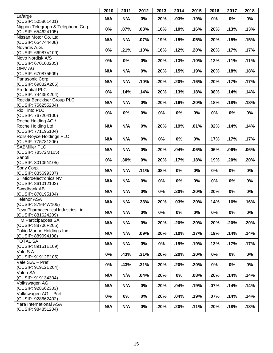|                                                                | 2010 | 2011 | 2012  | 2013  | 2014  | 2015 | 2016  | 2017  | 2018  |
|----------------------------------------------------------------|------|------|-------|-------|-------|------|-------|-------|-------|
| Lafarge<br>(CUSIP: 505861401)                                  | N/A  | N/A  | 0%    | .20%  | .03%  | .19% | 0%    | 0%    | 0%    |
| Nippon Telegraph & Telephone Corp.<br>(CUSIP: 654624105)       | 0%   | .07% | .08%  | .16%  | .10%  | .16% | .20%  | .13%  | .13%  |
| Nissan Motor Co. Ltd.<br>(CUSIP: 654744408)                    | N/A  | N/A  | .07%  | .19%  | .15%  | .05% | .20%  | .15%  | .15%  |
| Novartis A.G.<br>(CUSIP: 66987V109)                            | 0%   | .21% | .10%  | .16%  | .12%  | .20% | .20%  | .17%  | .17%  |
| Novo Nordisk A/S<br>(CUSIP: 670100205)                         | 0%   | 0%   | 0%    | .20%  | .13%  | .10% | .12%  | .11%  | .11%  |
| <b>OMV AG</b><br>(CUSIP: 670875509)                            | N/A  | N/A  | 0%    | .20%  | .15%  | .19% | .20%  | .18%  | .18%  |
| Panasonic Corp.<br>(CUSIP: 69832A205)                          | N/A  | N/A  | .10%  | .20%  | .20%  | .16% | .20%  | .17%  | .17%  |
| <b>Prudential PLC</b><br>(CUSIP: 74435K204)                    | 0%   | .14% | .14%  | .20%  | .13%  | .18% | .08%  | .14%  | .14%  |
| <b>Reckitt Benckiser Group PLC</b><br>(CUSIP: 756255204)       | N/A  | N/A  | 0%    | .20%  | .16%  | .20% | .18%  | .18%  | .18%  |
| Rio Tinto PLC<br>(CUSIP: 767204100)                            | 0%   | 0%   | 0%    | 0%    | 0%    | 0%   | 0%    | 0%    | 0%    |
| Roche Holding AG /<br>Roche Holding Ltd.<br>(CUSIP: 771195104) | N/A  | N/A  | 0%    | .20%  | .19%  | .01% | .02%  | .14%  | .14%  |
| Rolls-Royce Holdings PLC<br>(CUSIP: 775781206)                 | N/A  | N/A  | 0%    | 0%    | 0%    | 0%   | .17%  | .17%  | .17%  |
| <b>SABMiller PLC</b><br>(CUSIP: 78572M105)                     | N/A  | N/A  | 0%    | .20%  | .04%  | .06% | .06%  | .06%  | .06%  |
| Sanofi<br>(CUSIP: 80105N105)                                   | 0%   | .30% | 0%    | .20%  | .17%  | .18% | .19%  | .20%  | .20%  |
| Sony Corp.<br>(CUSIP: 835699307)                               | N/A  | N/A  | .11%  | .08%  | 0%    | 0%   | 0%    | 0%    | 0%    |
| <b>STMicroelectronics NV</b><br>(CUSIP: 861012102)             | N/A  | N/A  | 0%    | 0%    | 0%    | 0%   | $0\%$ | 0%    | 0%    |
| Swedbank AB<br>(CUSIP: 870195104)                              | N/A  | N/A  | 0%    | 0%    | .20%  | .20% | .20%  | 0%    | 0%    |
| <b>Telenor ASA</b><br>(CUSIP: 87944W105)                       | N/A  | N/A  | .33%  | .20%  | .03%  | .20% | .14%  | .16%  | .16%  |
| Teva Pharmaceutical Industries Ltd.<br>(CUSIP: 881624209)      | N/A  | N/A  | $0\%$ | $0\%$ | $0\%$ | 0%   | $0\%$ | $0\%$ | $0\%$ |
| TIM Participações SA<br>(CUSIP: 88706P205)                     | N/A  | N/A  | $0\%$ | .20%  | .20%  | .20% | .20%  | .20%  | .20%  |
| Tokio Marine Holdings Inc.<br>(CUSIP: 889094108)               | N/A  | N/A  | .09%  | .20%  | .10%  | .17% | .19%  | .14%  | .14%  |
| <b>TOTAL SA</b><br>(CUSIP: 89151E109)                          | N/A  | N/A  | $0\%$ | $0\%$ | .19%  | .19% | .13%  | .17%  | .17%  |
| Vale S.A.<br>(CUSIP: 91912E105)                                | 0%   | .43% | .31%  | .20%  | .20%  | .20% | $0\%$ | 0%    | 0%    |
| Vale S.A. - Pref<br>(CUSIP: 91912E204)                         | 0%   | .43% | .31%  | .20%  | .20%  | .20% | $0\%$ | 0%    | 0%    |
| Valeo SA<br>(CUSIP: 919134304)                                 | N/A  | N/A  | .04%  | .20%  | $0\%$ | .08% | .20%  | .14%  | .14%  |
| Volkswagen AG<br>(CUSIP: 928662303)                            | N/A  | N/A  | $0\%$ | .20%  | .04%  | .19% | .07%  | .14%  | .14%  |
| Volkswagen AG - Pref<br>(CUSIP: 928662402)                     | 0%   | 0%   | $0\%$ | .20%  | .04%  | .19% | .07%  | .14%  | .14%  |
| Yara International ASA<br>(CUSIP: 984851204)                   | N/A  | N/A  | $0\%$ | .20%  | .20%  | .11% | .20%  | .18%  | .18%  |